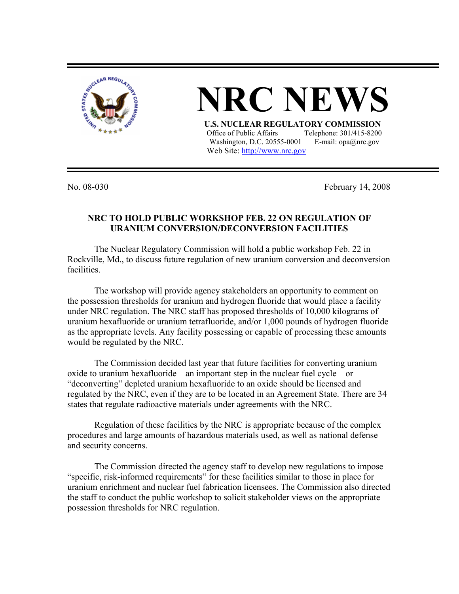

## **NRC NEV U.S. NUCLEAR REGULATORY COMMISSION** Office of Public Affairs Telephone: 301/415-8200

Washington, D.C. 20555-0001 E-mail:  $opa@nrc.gov$ Web Site: http://www.nrc.gov

No. 08-030 February 14, 2008

## **NRC TO HOLD PUBLIC WORKSHOP FEB. 22 ON REGULATION OF URANIUM CONVERSION/DECONVERSION FACILITIES**

The Nuclear Regulatory Commission will hold a public workshop Feb. 22 in Rockville, Md., to discuss future regulation of new uranium conversion and deconversion facilities.

 The workshop will provide agency stakeholders an opportunity to comment on the possession thresholds for uranium and hydrogen fluoride that would place a facility under NRC regulation. The NRC staff has proposed thresholds of 10,000 kilograms of uranium hexafluoride or uranium tetrafluoride, and/or 1,000 pounds of hydrogen fluoride as the appropriate levels. Any facility possessing or capable of processing these amounts would be regulated by the NRC.

 The Commission decided last year that future facilities for converting uranium oxide to uranium hexafluoride – an important step in the nuclear fuel cycle – or "deconverting" depleted uranium hexafluoride to an oxide should be licensed and regulated by the NRC, even if they are to be located in an Agreement State. There are 34 states that regulate radioactive materials under agreements with the NRC.

 Regulation of these facilities by the NRC is appropriate because of the complex procedures and large amounts of hazardous materials used, as well as national defense and security concerns.

 The Commission directed the agency staff to develop new regulations to impose "specific, risk-informed requirements" for these facilities similar to those in place for uranium enrichment and nuclear fuel fabrication licensees. The Commission also directed the staff to conduct the public workshop to solicit stakeholder views on the appropriate possession thresholds for NRC regulation.